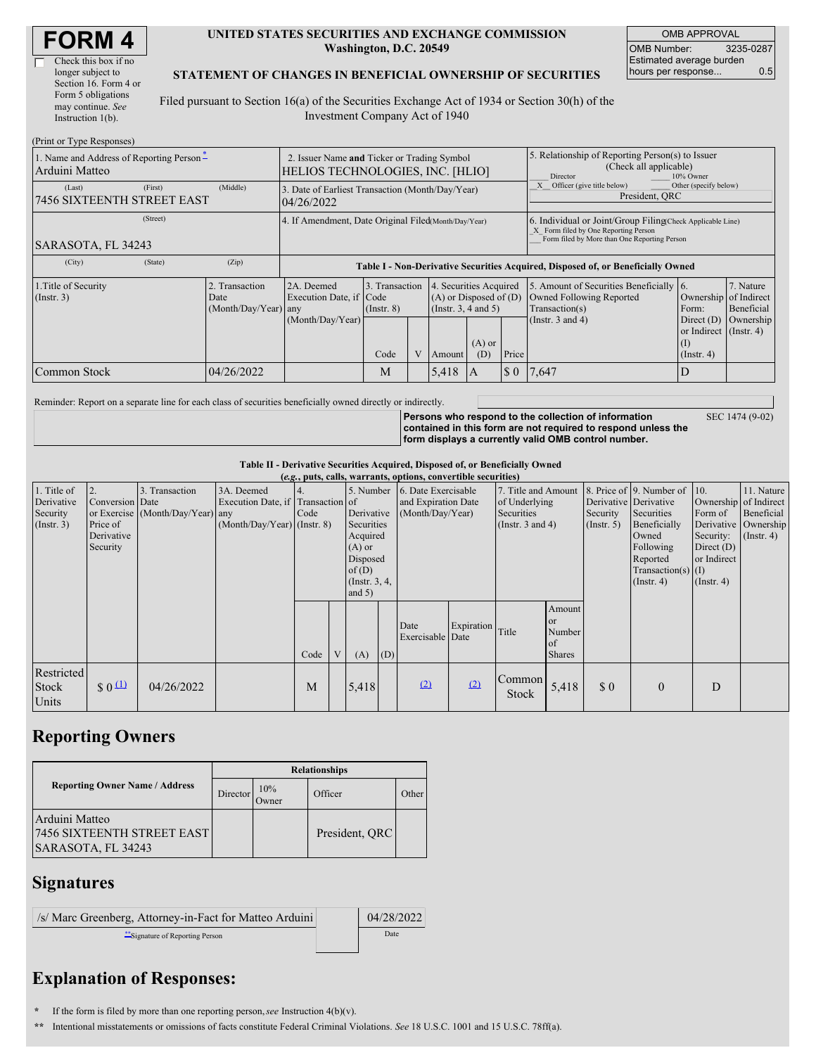| <b>FORM 4</b> |
|---------------|
|---------------|

 $\Gamma$ 

| Check this box if no  |
|-----------------------|
| longer subject to     |
| Section 16. Form 4 or |
| Form 5 obligations    |
| may continue. See     |
| Instruction $1(b)$ .  |
|                       |

#### **UNITED STATES SECURITIES AND EXCHANGE COMMISSION Washington, D.C. 20549**

OMB APPROVAL OMB Number: 3235-0287 Estimated average burden hours per response... 0.5

#### **STATEMENT OF CHANGES IN BENEFICIAL OWNERSHIP OF SECURITIES**

Filed pursuant to Section 16(a) of the Securities Exchange Act of 1934 or Section 30(h) of the Investment Company Act of 1940

| (Print or Type Responses)                                                                    |                                                                                 |                                                                                  |                         |                |       |                                                                                                          |                                                                                                                                                    |                                                                                                                |                                                                                                           |                                      |  |
|----------------------------------------------------------------------------------------------|---------------------------------------------------------------------------------|----------------------------------------------------------------------------------|-------------------------|----------------|-------|----------------------------------------------------------------------------------------------------------|----------------------------------------------------------------------------------------------------------------------------------------------------|----------------------------------------------------------------------------------------------------------------|-----------------------------------------------------------------------------------------------------------|--------------------------------------|--|
| 1. Name and Address of Reporting Person-<br>Arduini Matteo                                   | 2. Issuer Name and Ticker or Trading Symbol<br>HELIOS TECHNOLOGIES, INC. [HLIO] |                                                                                  |                         |                |       |                                                                                                          | 5. Relationship of Reporting Person(s) to Issuer<br>(Check all applicable)<br>10% Owner<br>Director                                                |                                                                                                                |                                                                                                           |                                      |  |
| (First)<br>(Last)<br><b>7456 SIXTEENTH STREET EAST</b>                                       | (Middle)                                                                        | 3. Date of Earliest Transaction (Month/Day/Year)<br>04/26/2022                   |                         |                |       |                                                                                                          |                                                                                                                                                    | Officer (give title below)<br>Other (specify below)<br>President, QRC                                          |                                                                                                           |                                      |  |
| (Street)<br>SARASOTA, FL 34243                                                               |                                                                                 | 4. If Amendment, Date Original Filed Month/Day/Year)                             |                         |                |       |                                                                                                          | 6. Individual or Joint/Group Filing Check Applicable Line)<br>X Form filed by One Reporting Person<br>Form filed by More than One Reporting Person |                                                                                                                |                                                                                                           |                                      |  |
| (City)<br>(State)                                                                            | (Zip)                                                                           | Table I - Non-Derivative Securities Acquired, Disposed of, or Beneficially Owned |                         |                |       |                                                                                                          |                                                                                                                                                    |                                                                                                                |                                                                                                           |                                      |  |
| 1. Title of Security<br>2. Transaction<br>$($ Instr. 3 $)$<br>Date<br>$(Month/Day/Year)$ any |                                                                                 | 2A. Deemed<br>Execution Date, if Code<br>(Month/Day/Year)                        | $($ Instr. $8)$<br>Code | 3. Transaction |       | 4. Securities Acquired<br>$(A)$ or Disposed of $(D)$<br>(Instr. 3, 4 and 5)<br>$(A)$ or<br>(D)<br>Amount |                                                                                                                                                    | 5. Amount of Securities Beneficially 6.<br>Owned Following Reported<br>Transaction(s)<br>(Instr. $3$ and $4$ ) | Ownership of Indirect<br>Form:<br>Direct $(D)$<br>or Indirect $($ Instr. 4 $)$<br>(I)<br>$($ Instr. 4 $)$ | 7. Nature<br>Beneficial<br>Ownership |  |
| Common Stock                                                                                 | 04/26/2022                                                                      |                                                                                  | M                       |                | 5,418 | 1A                                                                                                       | Price<br>$\boldsymbol{\mathsf{S}}$ 0                                                                                                               | 7,647                                                                                                          |                                                                                                           |                                      |  |

Reminder: Report on a separate line for each class of securities beneficially owned directly or indirectly.

SEC 1474 (9-02)

**Persons who respond to the collection of information contained in this form are not required to respond unless the form displays a currently valid OMB control number.**

**Table II - Derivative Securities Acquired, Disposed of, or Beneficially Owned**

| (e.g., puts, calls, warrants, options, convertible securities) |                                                       |                                                    |                                                                                  |      |   |                                                                                                                   |     |                                                                |                  |                                                                             |                                                          |                              |                                                                                                                                                                   |                                                                                                  |                                                                   |
|----------------------------------------------------------------|-------------------------------------------------------|----------------------------------------------------|----------------------------------------------------------------------------------|------|---|-------------------------------------------------------------------------------------------------------------------|-----|----------------------------------------------------------------|------------------|-----------------------------------------------------------------------------|----------------------------------------------------------|------------------------------|-------------------------------------------------------------------------------------------------------------------------------------------------------------------|--------------------------------------------------------------------------------------------------|-------------------------------------------------------------------|
| 1. Title of<br>Derivative<br>Security<br>$($ Instr. 3 $)$      | Conversion Date<br>Price of<br>Derivative<br>Security | 3. Transaction<br>or Exercise (Month/Day/Year) any | 3A. Deemed<br>Execution Date, if Transaction of<br>$(Month/Day/Year)$ (Instr. 8) | Code |   | 5. Number<br>Derivative<br>Securities<br>Acquired<br>$(A)$ or<br>Disposed<br>of(D)<br>(Instr. $3, 4,$<br>and $5)$ |     | 6. Date Exercisable<br>and Expiration Date<br>(Month/Day/Year) |                  | 7. Title and Amount<br>of Underlying<br>Securities<br>(Instr. $3$ and $4$ ) |                                                          | Security<br>$($ Instr. 5 $)$ | 8. Price of 9. Number of 10.<br>Derivative Derivative<br>Securities<br>Beneficially<br>Owned<br>Following<br>Reported<br>$Transaction(s)$ (I)<br>$($ Instr. 4 $)$ | Ownership of Indirect<br>Form of<br>Security:<br>Direct $(D)$<br>or Indirect<br>$($ Instr. 4 $)$ | 11. Nature<br>Beneficial<br>Derivative Ownership<br>$($ Instr. 4) |
|                                                                |                                                       |                                                    |                                                                                  | Code | V | (A)                                                                                                               | (D) | Date<br>Exercisable Date                                       | Expiration Title |                                                                             | Amount<br><sub>or</sub><br>Number<br>of<br><b>Shares</b> |                              |                                                                                                                                                                   |                                                                                                  |                                                                   |
| Restricted<br>Stock<br>Units                                   | \$0 <sup>(1)</sup>                                    | 04/26/2022                                         |                                                                                  | M    |   | 5,418                                                                                                             |     | (2)                                                            | (2)              | Common<br><b>Stock</b>                                                      | 5,418                                                    | \$0                          | $\mathbf{0}$                                                                                                                                                      | D                                                                                                |                                                                   |

## **Reporting Owners**

|                                                                    | <b>Relationships</b> |              |                |       |  |  |  |  |  |
|--------------------------------------------------------------------|----------------------|--------------|----------------|-------|--|--|--|--|--|
| <b>Reporting Owner Name / Address</b>                              | Director             | 10%<br>Owner | Officer        | Other |  |  |  |  |  |
| Arduini Matteo<br>7456 SIXTEENTH STREET EAST<br>SARASOTA, FL 34243 |                      |              | President, ORC |       |  |  |  |  |  |

### **Signatures**

| /s/ Marc Greenberg, Attorney-in-Fact for Matteo Arduini | 04/28/2022 |
|---------------------------------------------------------|------------|
| "Signature of Reporting Person"                         | Date       |

# **Explanation of Responses:**

**\*\*** Intentional misstatements or omissions of facts constitute Federal Criminal Violations. *See* 18 U.S.C. 1001 and 15 U.S.C. 78ff(a).

**<sup>\*</sup>** If the form is filed by more than one reporting person,*see* Instruction 4(b)(v).